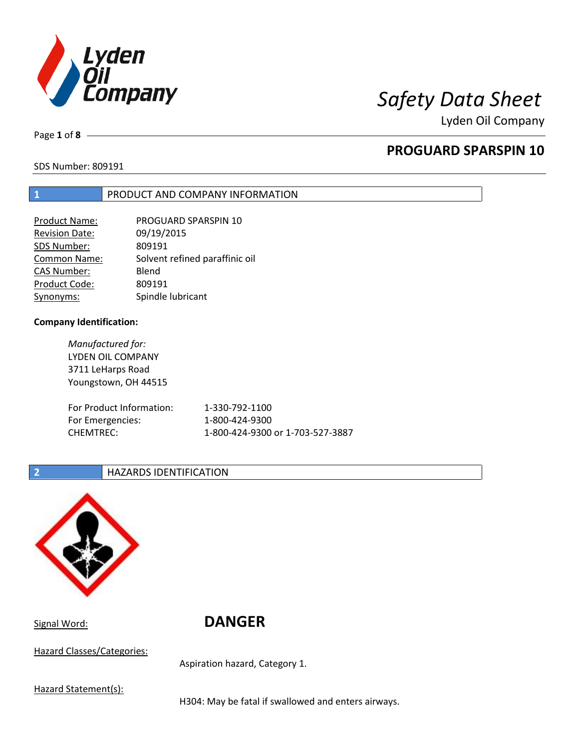

Page **1** of **8**

## **PROGUARD SPARSPIN 10**

SDS Number: 809191

### **1** PRODUCT AND COMPANY INFORMATION

| Product Name:         | PROGUARD SPARSPIN 10           |
|-----------------------|--------------------------------|
| <b>Revision Date:</b> | 09/19/2015                     |
| SDS Number:           | 809191                         |
| <b>Common Name:</b>   | Solvent refined paraffinic oil |
| <b>CAS Number:</b>    | Blend                          |
| Product Code:         | 809191                         |
| Synonyms:             | Spindle lubricant              |

### **Company Identification:**

*Manufactured for:* LYDEN OIL COMPANY 3711 LeHarps Road Youngstown, OH 44515 For Product Information: 1-330-792-1100 For Emergencies: 1-800-424-9300 CHEMTREC: 1-800-424-9300 or 1-703-527-3887

### **2 HAZARDS IDENTIFICATION**



Signal Word: **DANGER**

Hazard Classes/Categories:

Aspiration hazard, Category 1.

Hazard Statement(s):

H304: May be fatal if swallowed and enters airways.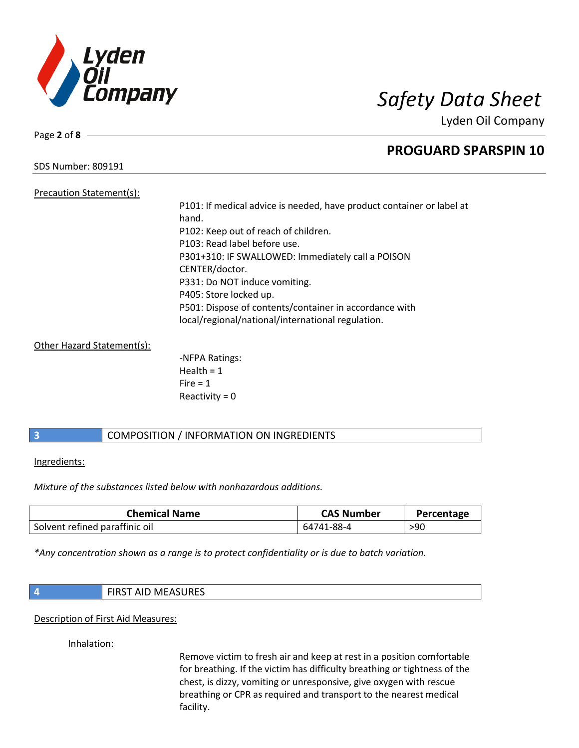

Page **2** of **8**

## **PROGUARD SPARSPIN 10**

SDS Number: 809191

Precaution Statement(s): P101: If medical advice is needed, have product container or label at hand. P102: Keep out of reach of children. P103: Read label before use. P301+310: IF SWALLOWED: Immediately call a POISON CENTER/doctor. P331: Do NOT induce vomiting. P405: Store locked up. P501: Dispose of contents/container in accordance with local/regional/national/international regulation.

Other Hazard Statement(s):

-NFPA Ratings: Health  $= 1$  $Fire = 1$ Reactivity  $= 0$ 

## **3** COMPOSITION / INFORMATION ON INGREDIENTS

Ingredients:

*Mixture of the substances listed below with nonhazardous additions.*

| <b>Chemical Name</b>           | <b>CAS Number</b> | Percentage |
|--------------------------------|-------------------|------------|
| Solvent refined paraffinic oil | 64741-88-4        | >90        |

*\*Any concentration shown as a range is to protect confidentiality or is due to batch variation.*

| `MFASURFS<br>$T$ AID $N$<br><b>IVILAJUNEJ</b> |
|-----------------------------------------------|
|-----------------------------------------------|

Description of First Aid Measures:

Inhalation:

Remove victim to fresh air and keep at rest in a position comfortable for breathing. If the victim has difficulty breathing or tightness of the chest, is dizzy, vomiting or unresponsive, give oxygen with rescue breathing or CPR as required and transport to the nearest medical facility.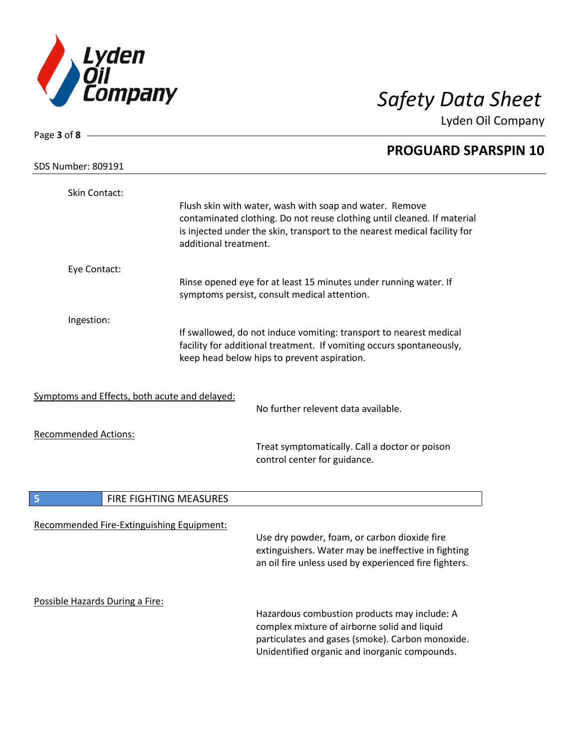

| Page $3$ of $8$ -                             |                        |                                                                                                                                                      |  |
|-----------------------------------------------|------------------------|------------------------------------------------------------------------------------------------------------------------------------------------------|--|
|                                               |                        | <b>PROGUARD SPARSPIN 10</b>                                                                                                                          |  |
| <b>SDS Number: 809191</b>                     |                        |                                                                                                                                                      |  |
| Skin Contact:                                 |                        |                                                                                                                                                      |  |
|                                               |                        | Flush skin with water, wash with soap and water. Remove                                                                                              |  |
|                                               |                        | contaminated clothing. Do not reuse clothing until cleaned. If material<br>is injected under the skin, transport to the nearest medical facility for |  |
|                                               | additional treatment.  |                                                                                                                                                      |  |
| Eye Contact:                                  |                        |                                                                                                                                                      |  |
|                                               |                        | Rinse opened eye for at least 15 minutes under running water. If<br>symptoms persist, consult medical attention.                                     |  |
| Ingestion:                                    |                        |                                                                                                                                                      |  |
|                                               |                        | If swallowed, do not induce vomiting: transport to nearest medical<br>facility for additional treatment. If vomiting occurs spontaneously,           |  |
|                                               |                        | keep head below hips to prevent aspiration.                                                                                                          |  |
|                                               |                        |                                                                                                                                                      |  |
| Symptoms and Effects, both acute and delayed: |                        |                                                                                                                                                      |  |
|                                               |                        | No further relevent data available.                                                                                                                  |  |
| <b>Recommended Actions:</b>                   |                        |                                                                                                                                                      |  |
|                                               |                        | Treat symptomatically. Call a doctor or poison<br>control center for guidance.                                                                       |  |
|                                               |                        |                                                                                                                                                      |  |
| 5                                             | FIRE FIGHTING MEASURES |                                                                                                                                                      |  |
|                                               |                        |                                                                                                                                                      |  |
| Recommended Fire-Extinguishing Equipment:     |                        | Use dry powder, foam, or carbon dioxide fire                                                                                                         |  |
|                                               |                        | extinguishers. Water may be ineffective in fighting                                                                                                  |  |
|                                               |                        | an oil fire unless used by experienced fire fighters.                                                                                                |  |
| Possible Hazards During a Fire:               |                        |                                                                                                                                                      |  |
|                                               |                        | Hazardous combustion products may include: A                                                                                                         |  |
|                                               |                        | complex mixture of airborne solid and liquid<br>particulates and gases (smoke). Carbon monoxide.                                                     |  |
|                                               |                        | Unidentified organic and inorganic compounds.                                                                                                        |  |
|                                               |                        |                                                                                                                                                      |  |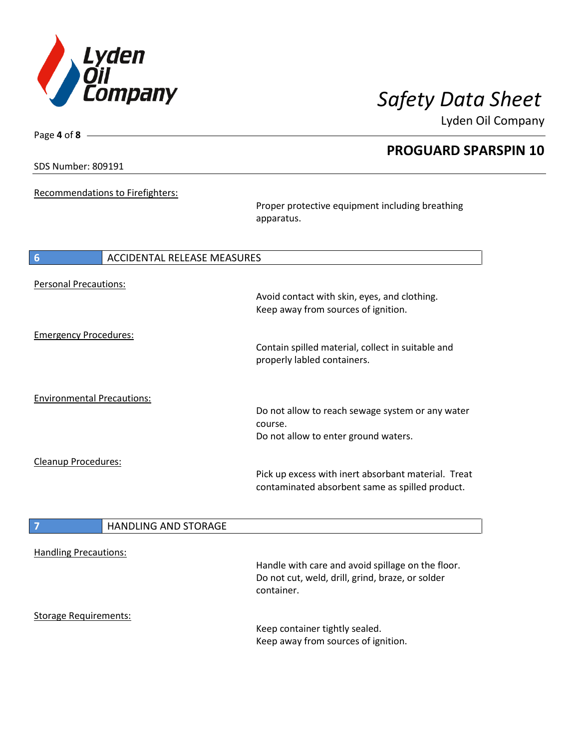

Lyden Oil Company

SDS Number: 809191

Page **4** of **8**

 $\overline{\phantom{a}}$ 

Recommendations to Firefighters:

Proper protective equipment including breathing apparatus.

| 6                                 | ACCIDENTAL RELEASE MEASURES                                                                            |
|-----------------------------------|--------------------------------------------------------------------------------------------------------|
| <b>Personal Precautions:</b>      | Avoid contact with skin, eyes, and clothing.<br>Keep away from sources of ignition.                    |
| <b>Emergency Procedures:</b>      | Contain spilled material, collect in suitable and<br>properly labled containers.                       |
| <b>Environmental Precautions:</b> | Do not allow to reach sewage system or any water<br>course.<br>Do not allow to enter ground waters.    |
| <b>Cleanup Procedures:</b>        | Pick up excess with inert absorbant material. Treat<br>contaminated absorbent same as spilled product. |

## **7 HANDLING AND STORAGE**

| <b>Handling Precautions:</b> |                                                                |
|------------------------------|----------------------------------------------------------------|
|                              | Handle with care and avoid spillage on the floor.              |
|                              | Do not cut, weld, drill, grind, braze, or solder<br>container. |
| <b>Storage Requirements:</b> |                                                                |
|                              | Keep container tightly sealed.                                 |
|                              | Keep away from sources of ignition.                            |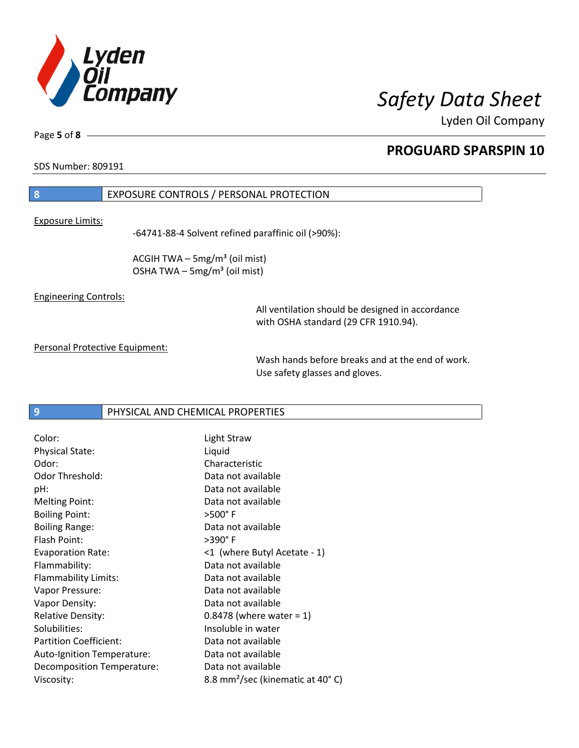

Lyden Oil Company

SDS Number: 809191

## **8** EXPOSURE CONTROLS / PERSONAL PROTECTION

Exposure Limits:

-64741-88-4 Solvent refined paraffinic oil (>90%):

ACGIH TWA  $-$  5mg/m<sup>3</sup> (oil mist) OSHA TWA  $-$  5mg/m<sup>3</sup> (oil mist)

Engineering Controls:

All ventilation should be designed in accordance with OSHA standard (29 CFR 1910.94).

Personal Protective Equipment:

Wash hands before breaks and at the end of work. Use safety glasses and gloves.

### **9** PHYSICAL AND CHEMICAL PROPERTIES

| Color:                        | Light Straw                                  |
|-------------------------------|----------------------------------------------|
| Physical State:               | Liquid                                       |
| Odor:                         | Characteristic                               |
| Odor Threshold:               | Data not available                           |
| pH:                           | Data not available                           |
| <b>Melting Point:</b>         | Data not available                           |
| <b>Boiling Point:</b>         | $>500^\circ$ F                               |
| <b>Boiling Range:</b>         | Data not available                           |
| Flash Point:                  | $>390^\circ$ F                               |
| <b>Evaporation Rate:</b>      | <1 (where Butyl Acetate - 1)                 |
| Flammability:                 | Data not available                           |
| Flammability Limits:          | Data not available                           |
| Vapor Pressure:               | Data not available                           |
| Vapor Density:                | Data not available                           |
| <b>Relative Density:</b>      | $0.8478$ (where water = 1)                   |
| Solubilities:                 | Insoluble in water                           |
| <b>Partition Coefficient:</b> | Data not available                           |
| Auto-Ignition Temperature:    | Data not available                           |
| Decomposition Temperature:    | Data not available                           |
| Viscosity:                    | 8.8 mm <sup>2</sup> /sec (kinematic at 40°C) |
|                               |                                              |

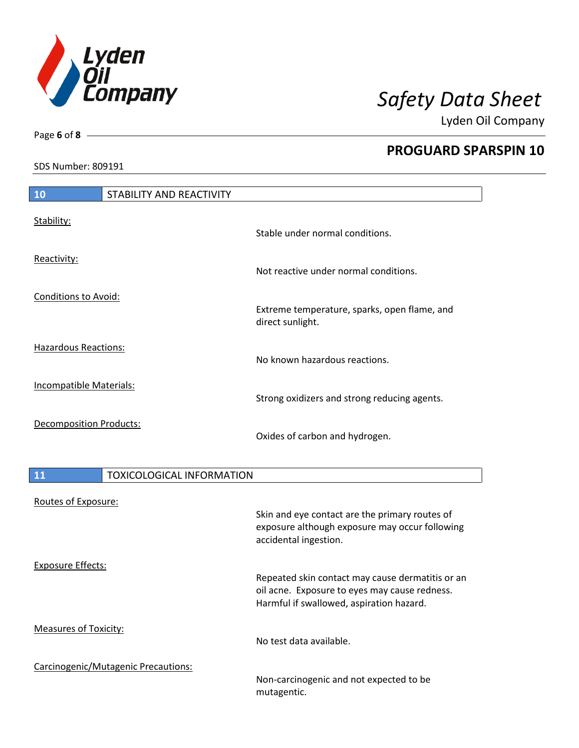

Lyden Oil Company

SDS Number: 809191

Page **6** of **8**

# **10** STABILITY AND REACTIVITY Stability: Stable under normal conditions. Reactivity: Not reactive under normal conditions. Conditions to Avoid: Extreme temperature, sparks, open flame, and direct sunlight. Hazardous Reactions: No known hazardous reactions. Incompatible Materials: Strong oxidizers and strong reducing agents. Decomposition Products: Oxides of carbon and hydrogen.

| <b>11</b>                    | <b>TOXICOLOGICAL INFORMATION</b>    |                                                                                                                                               |
|------------------------------|-------------------------------------|-----------------------------------------------------------------------------------------------------------------------------------------------|
| Routes of Exposure:          |                                     | Skin and eye contact are the primary routes of<br>exposure although exposure may occur following<br>accidental ingestion.                     |
| <b>Exposure Effects:</b>     |                                     | Repeated skin contact may cause dermatitis or an<br>oil acne. Exposure to eyes may cause redness.<br>Harmful if swallowed, aspiration hazard. |
| <b>Measures of Toxicity:</b> |                                     | No test data available.                                                                                                                       |
|                              | Carcinogenic/Mutagenic Precautions: | Non-carcinogenic and not expected to be<br>mutagentic.                                                                                        |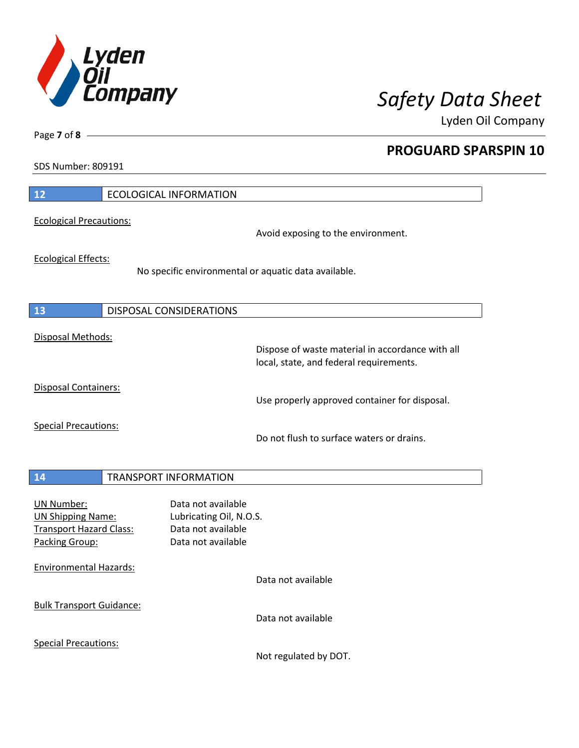

Lyden Oil Company

SDS Number: 809191

Page **7** of **8**

| 12                                                                                                | <b>ECOLOGICAL INFORMATION</b>                                                               |
|---------------------------------------------------------------------------------------------------|---------------------------------------------------------------------------------------------|
| <b>Ecological Precautions:</b>                                                                    | Avoid exposing to the environment.                                                          |
| <b>Ecological Effects:</b>                                                                        | No specific environmental or aquatic data available.                                        |
| <b>13</b>                                                                                         | DISPOSAL CONSIDERATIONS                                                                     |
| Disposal Methods:                                                                                 | Dispose of waste material in accordance with all<br>local, state, and federal requirements. |
| Disposal Containers:                                                                              | Use properly approved container for disposal.                                               |
| <b>Special Precautions:</b>                                                                       | Do not flush to surface waters or drains.                                                   |
| <b>14</b>                                                                                         | <b>TRANSPORT INFORMATION</b>                                                                |
| <b>UN Number:</b><br><b>UN Shipping Name:</b><br><b>Transport Hazard Class:</b><br>Packing Group: | Data not available<br>Lubricating Oil, N.O.S.<br>Data not available<br>Data not available   |
| <b>Environmental Hazards:</b>                                                                     | Data not available                                                                          |
| <b>Bulk Transport Guidance:</b>                                                                   | Data not available                                                                          |
| <b>Special Precautions:</b>                                                                       |                                                                                             |

Not regulated by DOT.